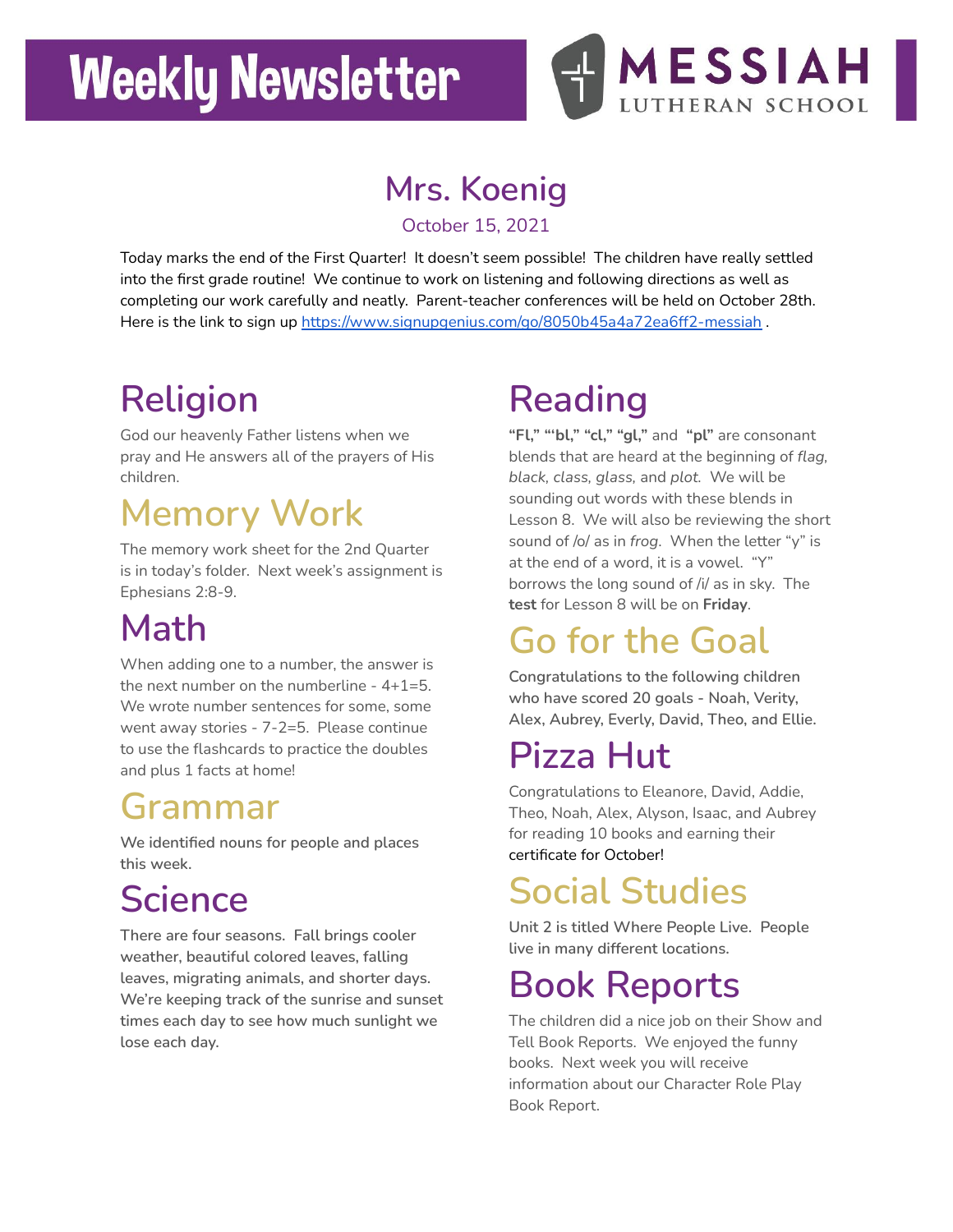# **Weekly Newsletter**



#### **Mrs. Koenig**

October 15, 2021

Today marks the end of the First Quarter! It doesn't seem possible! The children have really settled into the first grade routine! We continue to work on listening and following directions as well as completing our work carefully and neatly. Parent-teacher conferences will be held on October 28th. Here is the link to sign up <https://www.signupgenius.com/go/8050b45a4a72ea6ff2-messiah> .

# **Religion**

God our heavenly Father listens when we pray and He answers all of the prayers of His children.

## **Memory Work**

The memory work sheet for the 2nd Quarter is in today's folder. Next week's assignment is Ephesians 2:8-9.

## **Math**

When adding one to a number, the answer is the next number on the numberline  $-4+1=5$ . We wrote number sentences for some, some went away stories - 7-2=5. Please continue to use the flashcards to practice the doubles and plus 1 facts at home!

#### **Grammar**

**We identified nouns for people and places this week.**

## **Science**

**There are four seasons. Fall brings cooler weather, beautiful colored leaves, falling leaves, migrating animals, and shorter days. We're keeping track of the sunrise and sunset times each day to see how much sunlight we lose each day.**

## **Reading**

**"Fl," "'bl," "cl," "gl,"** and **"pl"** are consonant blends that are heard at the beginning of *flag, black, class, glass,* and *plot.* We will be sounding out words with these blends in Lesson 8. We will also be reviewing the short sound of /o/ as in *frog*. When the letter "y" is at the end of a word, it is a vowel. "Y" borrows the long sound of /i/ as in sky. The **test** for Lesson 8 will be on **Friday**.

# **Go for the Goal**

**Congratulations to the following children who have scored 20 goals - Noah, Verity, Alex, Aubrey, Everly, David, Theo, and Ellie.**

## **Pizza Hut**

Congratulations to Eleanore, David, Addie, Theo, Noah, Alex, Alyson, Isaac, and Aubrey for reading 10 books and earning their certificate for October!

## **Social Studies**

**Unit 2 is titled Where People Live. People live in many different locations.**

#### **Book Reports**

The children did a nice job on their Show and Tell Book Reports. We enjoyed the funny books. Next week you will receive information about our Character Role Play Book Report.